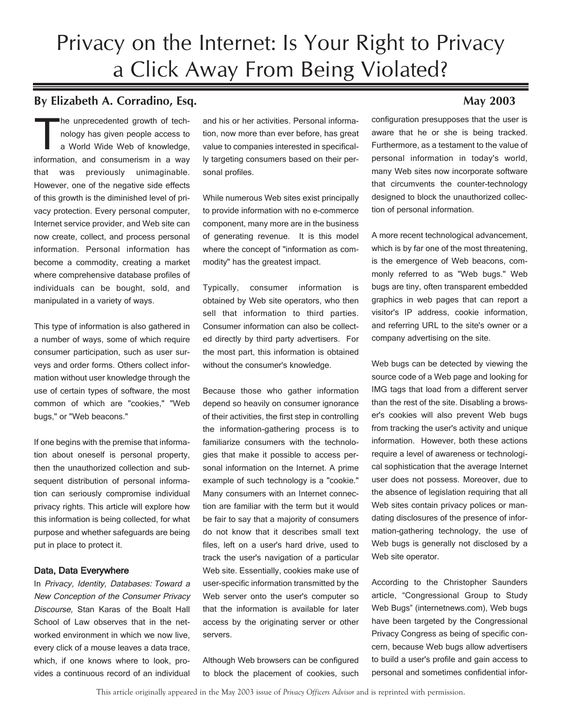# Privacy on the Internet: Is Your Right to Privacy a Click Away From Being Violated?

# **By Elizabeth A. Corradino, Esq. May 2003**

The unprecedented growth of tech-<br>
nology has given people access to<br>
a World Wide Web of knowledge, nology has given people access to information, and consumerism in a way that was previously unimaginable. However, one of the negative side effects of this growth is the diminished level of privacy protection. Every personal computer, Internet service provider, and Web site can now create, collect, and process personal information. Personal information has become a commodity, creating a market where comprehensive database profiles of individuals can be bought, sold, and manipulated in a variety of ways.

This type of information is also gathered in a number of ways, some of which require consumer participation, such as user surveys and order forms. Others collect information without user knowledge through the use of certain types of software, the most common of which are "cookies," "Web bugs," or "Web beacons."

If one begins with the premise that information about oneself is personal property, then the unauthorized collection and subsequent distribution of personal information can seriously compromise individual privacy rights. This article will explore how this information is being collected, for what purpose and whether safeguards are being put in place to protect it.

## Data, Data Everywhere

In Privacy, Identity, Databases: Toward a New Conception of the Consumer Privacy Discourse, Stan Karas of the Boalt Hall School of Law observes that in the networked environment in which we now live, every click of a mouse leaves a data trace, which, if one knows where to look, provides a continuous record of an individual and his or her activities. Personal information, now more than ever before, has great value to companies interested in specifically targeting consumers based on their personal profiles.

While numerous Web sites exist principally to provide information with no e-commerce component, many more are in the business of generating revenue. It is this model where the concept of "information as commodity" has the greatest impact.

Typically, consumer information is obtained by Web site operators, who then sell that information to third parties. Consumer information can also be collected directly by third party advertisers. For the most part, this information is obtained without the consumer's knowledge.

Because those who gather information depend so heavily on consumer ignorance of their activities, the first step in controlling the information-gathering process is to familiarize consumers with the technologies that make it possible to access personal information on the Internet. A prime example of such technology is a "cookie." Many consumers with an Internet connection are familiar with the term but it would be fair to say that a majority of consumers do not know that it describes small text files, left on a user's hard drive, used to track the user's navigation of a particular Web site. Essentially, cookies make use of user-specific information transmitted by the Web server onto the user's computer so that the information is available for later access by the originating server or other servers.

Although Web browsers can be configured to block the placement of cookies, such

configuration presupposes that the user is aware that he or she is being tracked. Furthermore, as a testament to the value of personal information in today's world, many Web sites now incorporate software that circumvents the counter-technology designed to block the unauthorized collection of personal information.

A more recent technological advancement, which is by far one of the most threatening, is the emergence of Web beacons, commonly referred to as "Web bugs." Web bugs are tiny, often transparent embedded graphics in web pages that can report a visitor's IP address, cookie information, and referring URL to the site's owner or a company advertising on the site.

Web bugs can be detected by viewing the source code of a Web page and looking for IMG tags that load from a different server than the rest of the site. Disabling a browser's cookies will also prevent Web bugs from tracking the user's activity and unique information. However, both these actions require a level of awareness or technological sophistication that the average Internet user does not possess. Moreover, due to the absence of legislation requiring that all Web sites contain privacy polices or mandating disclosures of the presence of information-gathering technology, the use of Web bugs is generally not disclosed by a Web site operator.

According to the Christopher Saunders article, "Congressional Group to Study Web Bugs" (internetnews.com), Web bugs have been targeted by the Congressional Privacy Congress as being of specific concern, because Web bugs allow advertisers to build a user's profile and gain access to personal and sometimes confidential infor